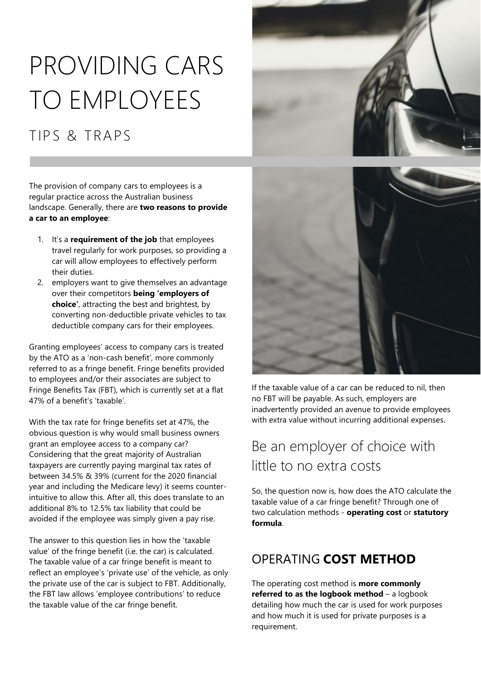# PROVIDING CARS TO EMPLOYEES

# TIPS & TRAPS

The provision of company cars to employees is a regular practice across the Australian business landscape. Generally, there are **two reasons to provide a car to an employee**:

- 1. It's a **requirement of the job** that employees travel regularly for work purposes, so providing a car will allow employees to effectively perform their duties.
- 2. employers want to give themselves an advantage over their competitors **being 'employers of choice'**, attracting the best and brightest, by converting non-deductible private vehicles to tax deductible company cars for their employees.

Granting employees' access to company cars is treated by the ATO as a 'non-cash benefit', more commonly referred to as a fringe benefit. Fringe benefits provided to employees and/or their associates are subject to Fringe Benefits Tax (FBT), which is currently set at a flat 47% of a benefit's 'taxable'.

With the tax rate for fringe benefits set at 47%, the obvious question is why would small business owners grant an employee access to a company car? Considering that the great majority of Australian taxpayers are currently paying marginal tax rates of between 34.5% & 39% (current for the 2020 financial year and including the Medicare levy) it seems counterintuitive to allow this. After all, this does translate to an additional 8% to 12.5% tax liability that could be avoided if the employee was simply given a pay rise.

The answer to this question lies in how the 'taxable value' of the fringe benefit (i.e. the car) is calculated. The taxable value of a car fringe benefit is meant to reflect an employee's 'private use' of the vehicle, as only the private use of the car is subject to FBT. Additionally, the FBT law allows 'employee contributions' to reduce the taxable value of the car fringe benefit.





If the taxable value of a car can be reduced to nil, then no FBT will be payable. As such, employers are inadvertently provided an avenue to provide employees with extra value without incurring additional expenses.

## Be an employer of choice with little to no extra costs

So, the question now is, how does the ATO calculate the taxable value of a car fringe benefit? Through one of two calculation methods - **operating cost** or **statutory formula**.

## OPERATING **COST METHOD**

The operating cost method is **more commonly referred to as the logbook method** – a logbook detailing how much the car is used for work purposes and how much it is used for private purposes is a requirement.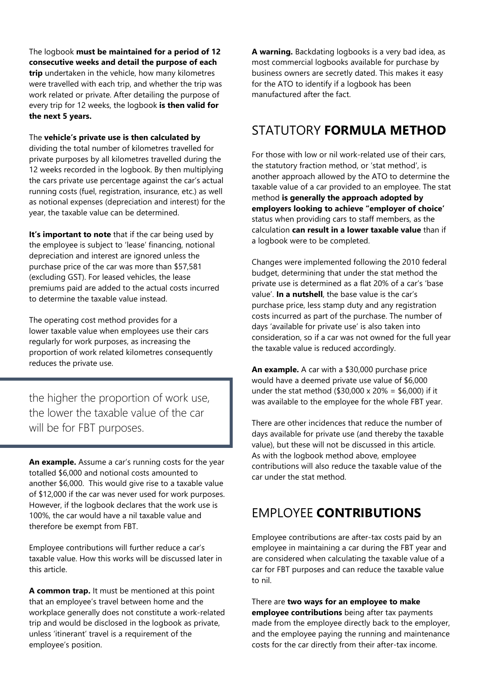The logbook **must be maintained for a period of 12 consecutive weeks and detail the purpose of each trip** undertaken in the vehicle, how many kilometres were travelled with each trip, and whether the trip was work related or private. After detailing the purpose of every trip for 12 weeks, the logbook **is then valid for the next 5 years.**

The **vehicle's private use is then calculated by** dividing the total number of kilometres travelled for private purposes by all kilometres travelled during the 12 weeks recorded in the logbook. By then multiplying the cars private use percentage against the car's actual running costs (fuel, registration, insurance, etc.) as well as notional expenses (depreciation and interest) for the year, the taxable value can be determined.

**It's important to note** that if the car being used by the employee is subject to 'lease' financing, notional depreciation and interest are ignored unless the purchase price of the car was more than \$57,581 (excluding GST). For leased vehicles, the lease premiums paid are added to the actual costs incurred to determine the taxable value instead.

The operating cost method provides for a lower taxable value when employees use their cars regularly for work purposes, as increasing the proportion of work related kilometres consequently reduces the private use.

the higher the proportion of work use, the lower the taxable value of the car will be for FBT purposes.

**An example.** Assume a car's running costs for the year totalled \$6,000 and notional costs amounted to another \$6,000. This would give rise to a taxable value of \$12,000 if the car was never used for work purposes. However, if the logbook declares that the work use is 100%, the car would have a nil taxable value and therefore be exempt from FBT.

Employee contributions will further reduce a car's taxable value. How this works will be discussed later in this article.

**A common trap.** It must be mentioned at this point that an employee's travel between home and the workplace generally does not constitute a work-related trip and would be disclosed in the logbook as private, unless 'itinerant' travel is a requirement of the employee's position.

**A warning.** Backdating logbooks is a very bad idea, as most commercial logbooks available for purchase by business owners are secretly dated. This makes it easy for the ATO to identify if a logbook has been manufactured after the fact.

## STATUTORY **FORMULA METHOD**

For those with low or nil work-related use of their cars, the statutory fraction method, or 'stat method', is another approach allowed by the ATO to determine the taxable value of a car provided to an employee. The stat method **is generally the approach adopted by employers looking to achieve "employer of choice'**  status when providing cars to staff members, as the calculation **can result in a lower taxable value** than if a logbook were to be completed.

Changes were implemented following the 2010 federal budget, determining that under the stat method the private use is determined as a flat 20% of a car's 'base value'. **In a nutshell**, the base value is the car's purchase price, less stamp duty and any registration costs incurred as part of the purchase. The number of days 'available for private use' is also taken into consideration, so if a car was not owned for the full year the taxable value is reduced accordingly.

**An example.** A car with a \$30,000 purchase price would have a deemed private use value of \$6,000 under the stat method (\$30,000 x 20% = \$6,000) if it was available to the employee for the whole FBT year.

There are other incidences that reduce the number of days available for private use (and thereby the taxable value), but these will not be discussed in this article. As with the logbook method above, employee contributions will also reduce the taxable value of the car under the stat method.

## EMPLOYEE **CONTRIBUTIONS**

Employee contributions are after-tax costs paid by an employee in maintaining a car during the FBT year and are considered when calculating the taxable value of a car for FBT purposes and can reduce the taxable value to nil.

There are **two ways for an employee to make employee contributions** being after tax payments made from the employee directly back to the employer, and the employee paying the running and maintenance costs for the car directly from their after-tax income.